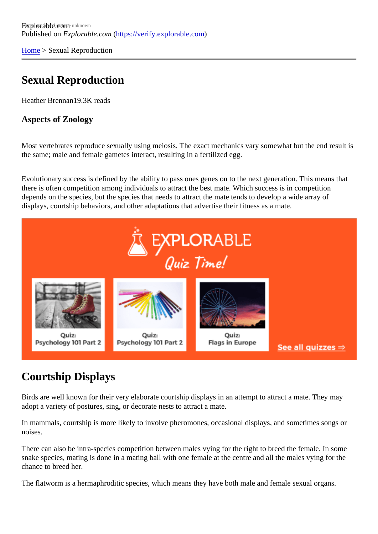[Home](https://verify.explorable.com/)> Sexual Reproduction

## Sexual Reproduction

Heather Brennan9.3K reads

Aspects of Zoology

Most vertebrates reproduce sexually using meiosis. The exact mechanics vary somewhat but the end result the same; male and female gametes interact, resulting in a fertilized egg.

Evolutionary success is defined by the ability to pass ones genes on to the next generation. This means that there is often competition among individuals to attract the best mate. Which success is in competition depends on the species, but the species that needs to attract the mate tends to develop a wide array of displays, courtship behaviors, and other adaptations that advertise their fitness as a mate.

## Courtship Displays

Birds are well known for their very elaborate courtship displays in an attempt to attract a mate. They may adopt a variety of postures, sing, or decorate nests to attract a mate.

In mammals, courtship is more likely to involve pheromones, occasional displays, and sometimes songs or noises.

There can also be intra-species competition between males vying for the right to breed the female. In some snake species, mating is done in a mating ball with one female at the centre and all the males vying for the chance to breed her.

The flatworm is a hermaphroditic species, which means they have both male and female sexual organs.